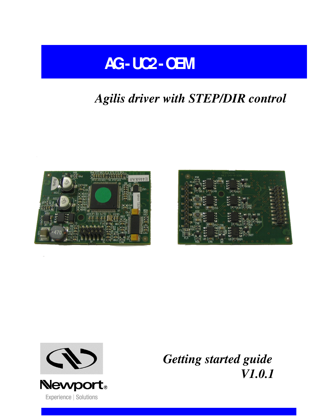

# *Agilis driver with STEP/DIR control*







*Getting started guide V1.0.1*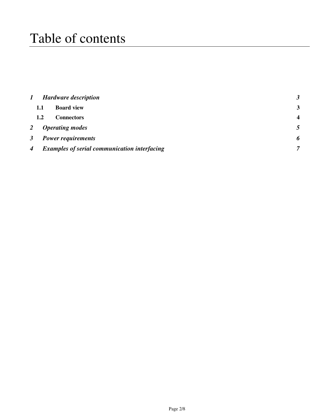# Table of contents

| $\bm{l}$         |                                                     | <b>Hardware description</b> |                         |
|------------------|-----------------------------------------------------|-----------------------------|-------------------------|
|                  | 1.1                                                 | <b>Board view</b>           | 3                       |
|                  | 1.2                                                 | <b>Connectors</b>           | $\overline{\mathbf{4}}$ |
| 2                |                                                     | <b>Operating modes</b>      |                         |
| $\mathbf{3}$     | <b>Power requirements</b>                           |                             |                         |
| $\boldsymbol{4}$ | <b>Examples of serial communication interfacing</b> |                             | 7                       |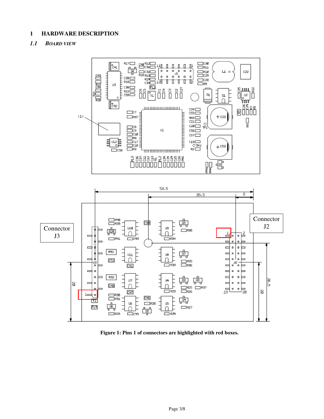### **1 HARDWARE DESCRIPTION**

### *1.1 BOARD VIEW*



**Figure 1: Pins 1 of connectors are highlighted with red boxes.**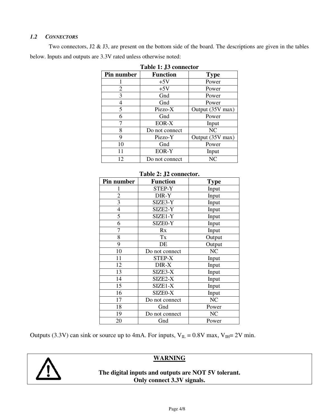### *1.2 CONNECTORS*

Two connectors, J2 & J3, are present on the bottom side of the board. The descriptions are given in the tables below. Inputs and outputs are 3.3V rated unless otherwise noted:

| Table 1: JJ connector |                 |                  |  |
|-----------------------|-----------------|------------------|--|
| Pin number            | <b>Function</b> | <b>Type</b>      |  |
|                       | $+5V$           | Power            |  |
| 2                     | $+5V$           | Power            |  |
| 3                     | Gnd             | Power            |  |
| 4                     | Gnd             | Power            |  |
| 5                     | Piezo-X         | Output (35V max) |  |
| 6                     | Gnd             | Power            |  |
|                       | EOR-X           | Input            |  |
| 8                     | Do not connect  | NC               |  |
| 9                     | Piezo-Y         | Output (35V max) |  |
| 10                    | Gnd             | Power            |  |
| 11                    | EOR-Y           | Input            |  |
| 12                    | Do not connect  | NC               |  |

|  |  | Table 1: J3 connector |  |
|--|--|-----------------------|--|
|  |  |                       |  |

| Table 2: J2 connector.  |                 |             |  |  |
|-------------------------|-----------------|-------------|--|--|
| Pin number              | <b>Function</b> | <b>Type</b> |  |  |
| 1                       | <b>STEP-Y</b>   | Input       |  |  |
| $\overline{c}$          | DIR-Y           | Input       |  |  |
| $\overline{\mathbf{3}}$ | SIZE3-Y         | Input       |  |  |
| $\overline{4}$          | SIZE2-Y         | Input       |  |  |
| $\overline{5}$          | SIZE1-Y         | Input       |  |  |
| 6                       | SIZE0-Y         | Input       |  |  |
| 7                       | Rx              | Input       |  |  |
| 8                       | Tx              | Output      |  |  |
| 9                       | DE              | Output      |  |  |
| 10                      | Do not connect  | NC          |  |  |
| 11                      | <b>STEP-X</b>   | Input       |  |  |
| 12                      | DIR-X           | Input       |  |  |
| 13                      | SIZE3-X         | Input       |  |  |
| 14                      | SIZE2-X         | Input       |  |  |
| 15                      | SIZE1-X         | Input       |  |  |
| 16                      | SIZE0-X         | Input       |  |  |
| 17                      | Do not connect  | NC          |  |  |
| 18                      | Gnd             | Power       |  |  |
| 19                      | Do not connect  | NC          |  |  |
| 20                      | Gnd             | Power       |  |  |

Outputs (3.3V) can sink or source up to 4mA. For inputs,  $V_{IL} = 0.8V$  max,  $V_{IH} = 2V$  min.



**WARNING** 

**The digital inputs and outputs are NOT 5V tolerant. Only connect 3.3V signals.**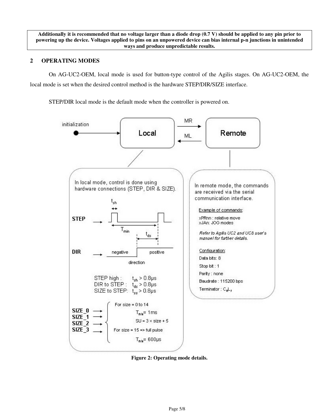**Additionally it is recommended that no voltage larger than a diode drop (0.7 V) should be applied to any pin prior to powering up the device. Voltages applied to pins on an unpowered device can bias internal p-n junctions in unintended ways and produce unpredictable results.** 

### **2 OPERATING MODES**

On AG-UC2-OEM, local mode is used for button-type control of the Agilis stages. On AG-UC2-OEM, the local mode is set when the desired control method is the hardware STEP/DIR/SIZE interface.

STEP/DIR local mode is the default mode when the controller is powered on.



**Figure 2: Operating mode details.**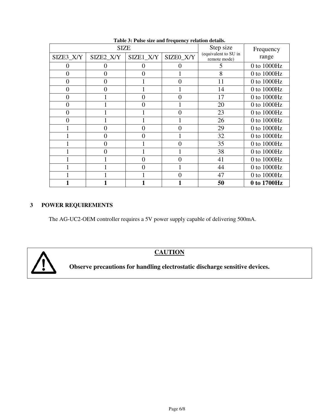| radic of r also size and requency relation details.<br><b>SIZE</b> |           |           |           | Step size                            | Frequency   |
|--------------------------------------------------------------------|-----------|-----------|-----------|--------------------------------------|-------------|
| SIZE3_X/Y                                                          | SIZE2_X/Y | SIZE1_X/Y | SIZE0_X/Y | (equivalent to SU in<br>remote mode) | range       |
|                                                                    |           | $\theta$  |           |                                      | 0 to 1000Hz |
| 0                                                                  | 0         | 0         |           | 8                                    | 0 to 1000Hz |
| 0                                                                  | $_{0}$    |           | $\Omega$  | 11                                   | 0 to 1000Hz |
| 0                                                                  | 0         |           |           | 14                                   | 0 to 1000Hz |
| 0                                                                  |           | 0         | $\Omega$  | 17                                   | 0 to 1000Hz |
| 0                                                                  |           | $\Omega$  |           | 20                                   | 0 to 1000Hz |
| 0                                                                  |           |           | $\Omega$  | 23                                   | 0 to 1000Hz |
|                                                                    |           |           |           | 26                                   | 0 to 1000Hz |
|                                                                    | ( )       | 0         | $\Omega$  | 29                                   | 0 to 1000Hz |
|                                                                    | ( )       | 0         |           | 32                                   | 0 to 1000Hz |
|                                                                    | 0         |           | 0         | 35                                   | 0 to 1000Hz |
|                                                                    | 0         |           |           | 38                                   | 0 to 1000Hz |
|                                                                    |           | 0         | 0         | 41                                   | 0 to 1000Hz |
|                                                                    |           | 0         |           | 44                                   | 0 to 1000Hz |
|                                                                    |           |           | 0         | 47                                   | 0 to 1000Hz |
|                                                                    |           |           |           | 50                                   | 0 to 1700Hz |

**Table 3: Pulse size and frequency relation details.**

# **3 POWER REQUIREMENTS**

The AG-UC2-OEM controller requires a 5V power supply capable of delivering 500mA.



**CAUTION** 

**Observe precautions for handling electrostatic discharge sensitive devices.**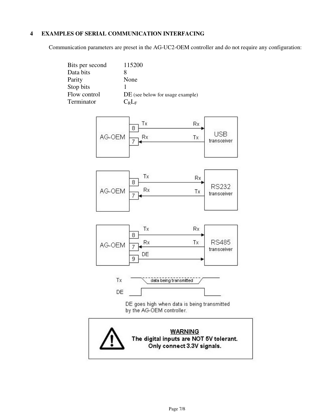## **4 EXAMPLES OF SERIAL COMMUNICATION INTERFACING**

Communication parameters are preset in the AG-UC2-OEM controller and do not require any configuration:

| Bits per second | 115200                           |
|-----------------|----------------------------------|
| Data bits       |                                  |
| Parity          | None                             |
| Stop bits       |                                  |
| Flow control    | DE (see below for usage example) |
| Terminator      | $C_2L_F$                         |









DE goes high when data is being transmitted by the AG-OEM controller.